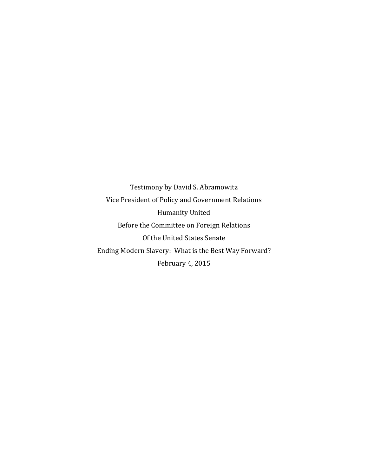Testimony by David S. Abramowitz Vice President of Policy and Government Relations Humanity United Before the Committee on Foreign Relations Of the United States Senate Ending Modern Slavery: What is the Best Way Forward? February 4, 2015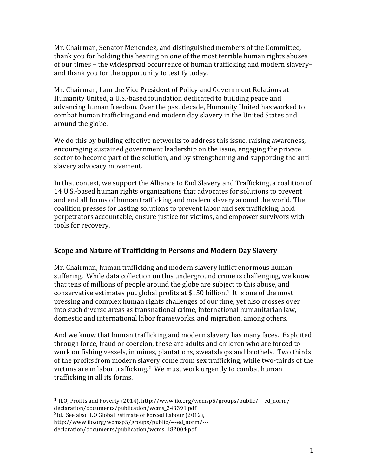Mr. Chairman, Senator Menendez, and distinguished members of the Committee, thank you for holding this hearing on one of the most terrible human rights abuses of our times – the widespread occurrence of human trafficking and modern slavery– and thank you for the opportunity to testify today.

Mr. Chairman, I am the Vice President of Policy and Government Relations at Humanity United, a U.S.-based foundation dedicated to building peace and advancing human freedom. Over the past decade, Humanity United has worked to combat human trafficking and end modern day slavery in the United States and around the globe.

We do this by building effective networks to address this issue, raising awareness, encouraging sustained government leadership on the issue, engaging the private sector to become part of the solution, and by strengthening and supporting the antislavery advocacy movement.

In that context, we support the Alliance to End Slavery and Trafficking, a coalition of 14 U.S.-based human rights organizations that advocates for solutions to prevent and end all forms of human trafficking and modern slavery around the world. The coalition presses for lasting solutions to prevent labor and sex trafficking, hold perpetrators accountable, ensure justice for victims, and empower survivors with tools for recovery.

# **Scope and Nature of Trafficking in Persons and Modern Day Slavery**

Mr. Chairman, human trafficking and modern slavery inflict enormous human suffering. While data collection on this underground crime is challenging, we know that tens of millions of people around the globe are subject to this abuse, and conservative estimates put global profits at \$150 billion.<sup>1</sup> It is one of the most pressing and complex human rights challenges of our time, yet also crosses over into such diverse areas as transnational crime, international humanitarian law, domestic and international labor frameworks, and migration, among others.

And we know that human trafficking and modern slavery has many faces. Exploited through force, fraud or coercion, these are adults and children who are forced to work on fishing vessels, in mines, plantations, sweatshops and brothels. Two thirds of the profits from modern slavery come from sex trafficking, while two-thirds of the victims are in labor trafficking.<sup>2</sup> We must work urgently to combat human trafficking in all its forms.

 

 $1$  ILO, Profits and Poverty (2014), http://www.ilo.org/wcmsp5/groups/public/---ed\_norm/--declaration/documents/publication/wcms\_243391.pdf

<sup>&</sup>lt;sup>2</sup>Id. See also ILO Global Estimate of Forced Labour (2012),

http://www.ilo.org/wcmsp5/groups/public/---ed\_norm/---

declaration/documents/publication/wcms\_182004.pdf.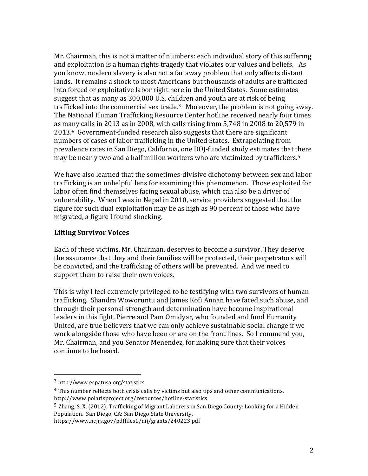Mr. Chairman, this is not a matter of numbers: each individual story of this suffering and exploitation is a human rights tragedy that violates our values and beliefs. As you know, modern slavery is also not a far away problem that only affects distant lands. It remains a shock to most Americans but thousands of adults are trafficked into forced or exploitative labor right here in the United States. Some estimates suggest that as many as 300,000 U.S. children and youth are at risk of being trafficked into the commercial sex trade. $3$  Moreover, the problem is not going away. The National Human Trafficking Resource Center hotline received nearly four times as many calls in 2013 as in 2008, with calls rising from  $5,748$  in 2008 to 20,579 in 2013.<sup>4</sup> Government-funded research also suggests that there are significant numbers of cases of labor trafficking in the United States. Extrapolating from prevalence rates in San Diego, California, one DOJ-funded study estimates that there may be nearly two and a half million workers who are victimized by traffickers.<sup>5</sup>

We have also learned that the sometimes-divisive dichotomy between sex and labor trafficking is an unhelpful lens for examining this phenomenon. Those exploited for labor often find themselves facing sexual abuse, which can also be a driver of vulnerability. When I was in Nepal in 2010, service providers suggested that the figure for such dual exploitation may be as high as 90 percent of those who have migrated, a figure I found shocking.

#### **Lifting Survivor Voices**

Each of these victims, Mr. Chairman, deserves to become a survivor. They deserve the assurance that they and their families will be protected, their perpetrators will be convicted, and the trafficking of others will be prevented. And we need to support them to raise their own voices.

This is why I feel extremely privileged to be testifying with two survivors of human trafficking. Shandra Woworuntu and James Kofi Annan have faced such abuse, and through their personal strength and determination have become inspirational leaders in this fight. Pierre and Pam Omidyar, who founded and fund Humanity United, are true believers that we can only achieve sustainable social change if we work alongside those who have been or are on the front lines. So I commend you, Mr. Chairman, and you Senator Menendez, for making sure that their voices continue to be heard.

 $5$  Zhang, S. X. (2012). Trafficking of Migrant Laborers in San Diego County: Looking for a Hidden Population. San Diego, CA: San Diego State University,

 <sup>3</sup> http://www.ecpatusa.org/statistics

<sup>&</sup>lt;sup>4</sup> This number reflects both crisis calls by victims but also tips and other communications. http://www.polarisproject.org/resources/hotline-statistics

https://www.ncjrs.gov/pdffiles1/nij/grants/240223.pdf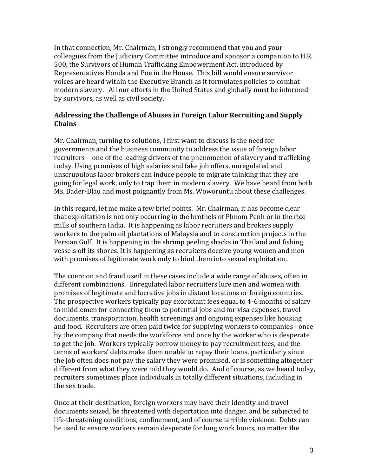In that connection, Mr. Chairman, I strongly recommend that you and your colleagues from the Judiciary Committee introduce and sponsor a companion to H.R. 500, the Survivors of Human Trafficking Empowerment Act, introduced by Representatives Honda and Poe in the House. This bill would ensure survivor voices are heard within the Executive Branch as it formulates policies to combat modern slavery. All our efforts in the United States and globally must be informed by survivors, as well as civil society.

# **Addressing the Challenge of Abuses in Foreign Labor Recruiting and Supply Chains**

Mr. Chairman, turning to solutions, I first want to discuss is the need for governments and the business community to address the issue of foreign labor recruiters—one of the leading drivers of the phenomenon of slavery and trafficking today. Using promises of high salaries and fake iob offers, unregulated and unscrupulous labor brokers can induce people to migrate thinking that they are going for legal work, only to trap them in modern slavery. We have heard from both Ms. Bader-Blau and most poignantly from Ms. Woworuntu about these challenges.

In this regard, let me make a few brief points. Mr. Chairman, it has become clear that exploitation is not only occurring in the brothels of Phnom Penh or in the rice mills of southern India. It is happening as labor recruiters and brokers supply workers to the palm oil plantations of Malaysia and to construction projects in the Persian Gulf. It is happening in the shrimp peeling shacks in Thailand and fishing vessels off its shores. It is happening as recruiters deceive young women and men with promises of legitimate work only to bind them into sexual exploitation.

The coercion and fraud used in these cases include a wide range of abuses, often in different combinations. Unregulated labor recruiters lure men and women with promises of legitimate and lucrative jobs in distant locations or foreign countries. The prospective workers typically pay exorbitant fees equal to 4-6 months of salary to middlemen for connecting them to potential jobs and for visa expenses, travel documents, transportation, health screenings and ongoing expenses like housing and food. Recruiters are often paid twice for supplying workers to companies - once by the company that needs the workforce and once by the worker who is desperate to get the job. Workers typically borrow money to pay recruitment fees, and the terms of workers' debts make them unable to repay their loans, particularly since the job often does not pay the salary they were promised, or is something altogether different from what they were told they would do. And of course, as we heard today, recruiters sometimes place individuals in totally different situations, including in the sex trade.

Once at their destination, foreign workers may have their identity and travel documents seized, be threatened with deportation into danger, and be subjected to life-threatening conditions, confinement, and of course terrible violence. Debts can be used to ensure workers remain desperate for long work hours, no matter the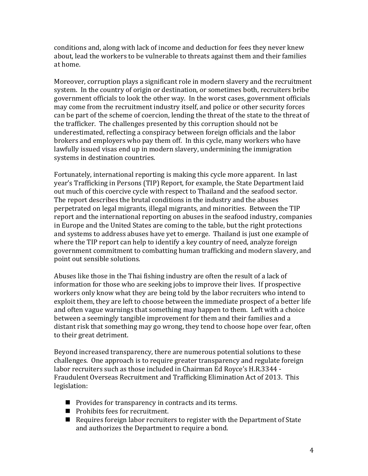conditions and, along with lack of income and deduction for fees they never knew about, lead the workers to be vulnerable to threats against them and their families at home.

Moreover, corruption plays a significant role in modern slavery and the recruitment system. In the country of origin or destination, or sometimes both, recruiters bribe government officials to look the other way. In the worst cases, government officials may come from the recruitment industry itself, and police or other security forces can be part of the scheme of coercion, lending the threat of the state to the threat of the trafficker. The challenges presented by this corruption should not be underestimated, reflecting a conspiracy between foreign officials and the labor brokers and employers who pay them off. In this cycle, many workers who have lawfully issued visas end up in modern slavery, undermining the immigration systems in destination countries.

Fortunately, international reporting is making this cycle more apparent. In last year's Trafficking in Persons (TIP) Report, for example, the State Department laid out much of this coercive cycle with respect to Thailand and the seafood sector. The report describes the brutal conditions in the industry and the abuses perpetrated on legal migrants, illegal migrants, and minorities. Between the TIP report and the international reporting on abuses in the seafood industry, companies in Europe and the United States are coming to the table, but the right protections and systems to address abuses have yet to emerge. Thailand is just one example of where the TIP report can help to identify a key country of need, analyze foreign government commitment to combatting human trafficking and modern slavery, and point out sensible solutions.

Abuses like those in the Thai fishing industry are often the result of a lack of information for those who are seeking jobs to improve their lives. If prospective workers only know what they are being told by the labor recruiters who intend to exploit them, they are left to choose between the immediate prospect of a better life and often vague warnings that something may happen to them. Left with a choice between a seemingly tangible improvement for them and their families and a distant risk that something may go wrong, they tend to choose hope over fear, often to their great detriment.

Beyond increased transparency, there are numerous potential solutions to these challenges. One approach is to require greater transparency and regulate foreign labor recruiters such as those included in Chairman Ed Royce's H.R.3344 -Fraudulent Overseas Recruitment and Trafficking Elimination Act of 2013. This legislation:

- $\blacksquare$  Provides for transparency in contracts and its terms.
- $\blacksquare$  Prohibits fees for recruitment.
- $\blacksquare$  Requires foreign labor recruiters to register with the Department of State and authorizes the Department to require a bond.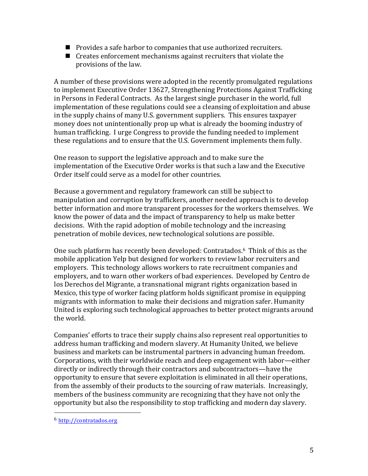- $\blacksquare$  Provides a safe harbor to companies that use authorized recruiters.
- $\blacksquare$  Creates enforcement mechanisms against recruiters that violate the provisions of the law.

A number of these provisions were adopted in the recently promulgated regulations to implement Executive Order 13627, Strengthening Protections Against Trafficking in Persons in Federal Contracts. As the largest single purchaser in the world, full implementation of these regulations could see a cleansing of exploitation and abuse in the supply chains of many U.S. government suppliers. This ensures taxpayer money does not unintentionally prop up what is already the booming industry of human trafficking. I urge Congress to provide the funding needed to implement these regulations and to ensure that the U.S. Government implements them fully.

One reason to support the legislative approach and to make sure the implementation of the Executive Order works is that such a law and the Executive Order itself could serve as a model for other countries.

Because a government and regulatory framework can still be subject to manipulation and corruption by traffickers, another needed approach is to develop better information and more transparent processes for the workers themselves. We know the power of data and the impact of transparency to help us make better decisions. With the rapid adoption of mobile technology and the increasing penetration of mobile devices, new technological solutions are possible.

One such platform has recently been developed: Contratados.<sup>6</sup> Think of this as the mobile application Yelp but designed for workers to review labor recruiters and employers. This technology allows workers to rate recruitment companies and employers, and to warn other workers of bad experiences. Developed by Centro de los Derechos del Migrante, a transnational migrant rights organization based in Mexico, this type of worker facing platform holds significant promise in equipping migrants with information to make their decisions and migration safer. Humanity United is exploring such technological approaches to better protect migrants around the world.

Companies' efforts to trace their supply chains also represent real opportunities to address human trafficking and modern slavery. At Humanity United, we believe business and markets can be instrumental partners in advancing human freedom. Corporations, with their worldwide reach and deep engagement with labor—either directly or indirectly through their contractors and subcontractors—have the opportunity to ensure that severe exploitation is eliminated in all their operations, from the assembly of their products to the sourcing of raw materials. Increasingly, members of the business community are recognizing that they have not only the opportunity but also the responsibility to stop trafficking and modern day slavery.

 

<sup>6</sup> http://contratados.org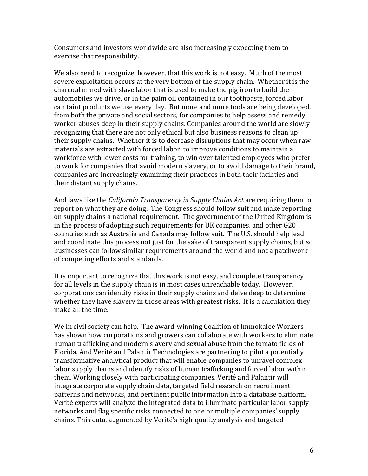Consumers and investors worldwide are also increasingly expecting them to exercise that responsibility.

We also need to recognize, however, that this work is not easy. Much of the most severe exploitation occurs at the very bottom of the supply chain. Whether it is the charcoal mined with slave labor that is used to make the pig iron to build the automobiles we drive, or in the palm oil contained in our toothpaste, forced labor can taint products we use every day. But more and more tools are being developed, from both the private and social sectors, for companies to help assess and remedy worker abuses deep in their supply chains. Companies around the world are slowly recognizing that there are not only ethical but also business reasons to clean up their supply chains. Whether it is to decrease disruptions that may occur when raw materials are extracted with forced labor, to improve conditions to maintain a workforce with lower costs for training, to win over talented employees who prefer to work for companies that avoid modern slavery, or to avoid damage to their brand, companies are increasingly examining their practices in both their facilities and their distant supply chains.

And laws like the *California Transparency in Supply Chains Act* are requiring them to report on what they are doing. The Congress should follow suit and make reporting on supply chains a national requirement. The government of the United Kingdom is in the process of adopting such requirements for UK companies, and other G20 countries such as Australia and Canada may follow suit. The U.S. should help lead and coordinate this process not just for the sake of transparent supply chains, but so businesses can follow similar requirements around the world and not a patchwork of competing efforts and standards.

It is important to recognize that this work is not easy, and complete transparency for all levels in the supply chain is in most cases unreachable today. However, corporations can identify risks in their supply chains and delve deep to determine whether they have slavery in those areas with greatest risks. It is a calculation they make all the time.

We in civil society can help. The award-winning Coalition of Immokalee Workers has shown how corporations and growers can collaborate with workers to eliminate human trafficking and modern slavery and sexual abuse from the tomato fields of Florida. And Verité and Palantir Technologies are partnering to pilot a potentially transformative analytical product that will enable companies to unravel complex labor supply chains and identify risks of human trafficking and forced labor within them. Working closely with participating companies, Verité and Palantir will integrate corporate supply chain data, targeted field research on recruitment patterns and networks, and pertinent public information into a database platform. Verité experts will analyze the integrated data to illuminate particular labor supply networks and flag specific risks connected to one or multiple companies' supply chains. This data, augmented by Verité's high-quality analysis and targeted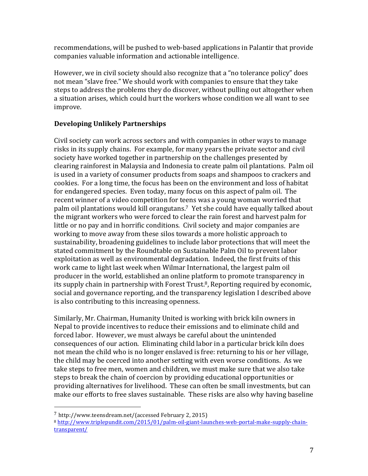recommendations, will be pushed to web-based applications in Palantir that provide companies valuable information and actionable intelligence.

However, we in civil society should also recognize that a "no tolerance policy" does not mean "slave free." We should work with companies to ensure that they take steps to address the problems they do discover, without pulling out altogether when a situation arises, which could hurt the workers whose condition we all want to see improve.

# **Developing Unlikely Partnerships**

Civil society can work across sectors and with companies in other ways to manage risks in its supply chains. For example, for many years the private sector and civil society have worked together in partnership on the challenges presented by clearing rainforest in Malaysia and Indonesia to create palm oil plantations. Palm oil is used in a variety of consumer products from soaps and shampoos to crackers and cookies. For a long time, the focus has been on the environment and loss of habitat for endangered species. Even today, many focus on this aspect of palm oil. The recent winner of a video competition for teens was a young woman worried that palm oil plantations would kill orangutans.<sup>7</sup> Yet she could have equally talked about the migrant workers who were forced to clear the rain forest and harvest palm for little or no pay and in horrific conditions. Civil society and major companies are working to move away from these silos towards a more holistic approach to sustainability, broadening guidelines to include labor protections that will meet the stated commitment by the Roundtable on Sustainable Palm Oil to prevent labor exploitation as well as environmental degradation. Indeed, the first fruits of this work came to light last week when Wilmar International, the largest palm oil producer in the world, established an online platform to promote transparency in its supply chain in partnership with Forest Trust.<sup>8</sup>, Reporting required by economic, social and governance reporting, and the transparency legislation I described above is also contributing to this increasing openness.

Similarly, Mr. Chairman, Humanity United is working with brick kiln owners in Nepal to provide incentives to reduce their emissions and to eliminate child and forced labor. However, we must always be careful about the unintended consequences of our action. Eliminating child labor in a particular brick kiln does not mean the child who is no longer enslaved is free: returning to his or her village, the child may be coerced into another setting with even worse conditions. As we take steps to free men, women and children, we must make sure that we also take steps to break the chain of coercion by providing educational opportunities or providing alternatives for livelihood. These can often be small investments, but can make our efforts to free slaves sustainable. These risks are also why having baseline

 

 $7$  http://www.teensdream.net/(accessed February 2, 2015)

<sup>8</sup> http://www.triplepundit.com/2015/01/palm-oil-giant-launches-web-portal-make-supply-chaintransparent/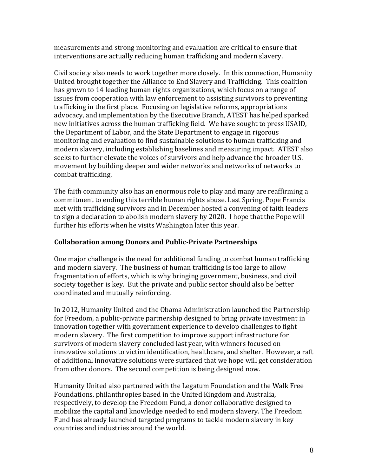measurements and strong monitoring and evaluation are critical to ensure that interventions are actually reducing human trafficking and modern slavery.

Civil society also needs to work together more closely. In this connection, Humanity United brought together the Alliance to End Slavery and Trafficking. This coalition has grown to 14 leading human rights organizations, which focus on a range of issues from cooperation with law enforcement to assisting survivors to preventing trafficking in the first place. Focusing on legislative reforms, appropriations advocacy, and implementation by the Executive Branch, ATEST has helped sparked new initiatives across the human trafficking field. We have sought to press USAID, the Department of Labor, and the State Department to engage in rigorous monitoring and evaluation to find sustainable solutions to human trafficking and modern slavery, including establishing baselines and measuring impact. ATEST also seeks to further elevate the voices of survivors and help advance the broader U.S. movement by building deeper and wider networks and networks of networks to combat trafficking.

The faith community also has an enormous role to play and many are reaffirming a commitment to ending this terrible human rights abuse. Last Spring, Pope Francis met with trafficking survivors and in December hosted a convening of faith leaders to sign a declaration to abolish modern slavery by 2020. I hope that the Pope will further his efforts when he visits Washington later this year.

### **Collaboration among Donors and Public-Private Partnerships**

One major challenge is the need for additional funding to combat human trafficking and modern slavery. The business of human trafficking is too large to allow fragmentation of efforts, which is why bringing government, business, and civil society together is key. But the private and public sector should also be better coordinated and mutually reinforcing.

In 2012, Humanity United and the Obama Administration launched the Partnership for Freedom, a public-private partnership designed to bring private investment in innovation together with government experience to develop challenges to fight modern slavery. The first competition to improve support infrastructure for survivors of modern slavery concluded last year, with winners focused on innovative solutions to victim identification, healthcare, and shelter. However, a raft of additional innovative solutions were surfaced that we hope will get consideration from other donors. The second competition is being designed now.

Humanity United also partnered with the Legatum Foundation and the Walk Free Foundations, philanthropies based in the United Kingdom and Australia, respectively, to develop the Freedom Fund, a donor collaborative designed to mobilize the capital and knowledge needed to end modern slavery. The Freedom Fund has already launched targeted programs to tackle modern slavery in key countries and industries around the world.